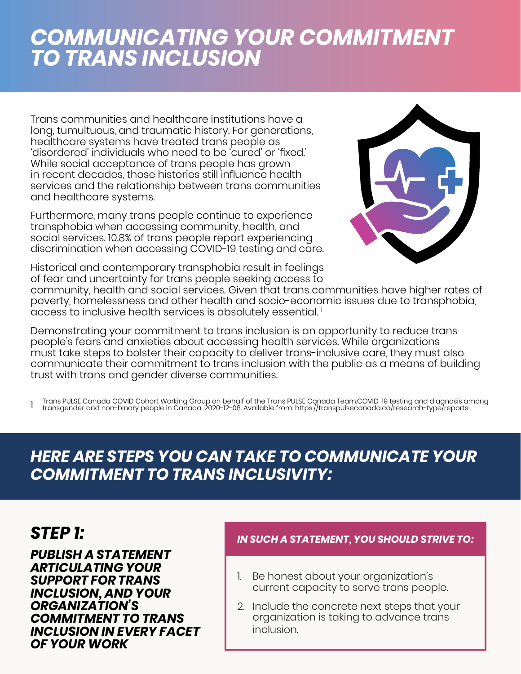# *COMMUNICATING YOUR COMMITMENT TO TRANS INCLUSION*

Trans communities and healthcare institutions have a long, tumultuous, and traumatic history. For generations, healthcare systems have treated trans people as 'disordered' individuals who need to be 'cured' or 'fixed.' While social acceptance of trans people has grown in recent decades, those histories still influence health services and the relationship between trans communities and healthcare systems.

Furthermore, many trans people continue to experience transphobia when accessing community, health, and social services. 10.8% of trans people report experiencing discrimination when accessing COVID-19 testing and care.

Historical and contemporary transphobia result in feelings of fear and uncertainty for trans people seeking access to



community, health and social services. Given that trans communities have higher rates of poverty, homelessness and other health and socio-economic issues due to transphobia, access to inclusive health services is absolutely essential. 1

Demonstrating your commitment to trans inclusion is an opportunity to reduce trans people's fears and anxieties about accessing health services. While organizations must take steps to bolster their capacity to deliver trans-inclusive care, they must also communicate their commitment to trans inclusion with the public as a means of building trust with trans and gender diverse communities.

1 Trans PULSE Canada COVID Cohort Working Group on behalf of the Trans PULSE Canada Team.COVID-19 testing and diagnosis among<br>transgender and non-binary people in Canada. 2020-12-08. Available from: https://transpulsecanad

## *HERE ARE STEPS YOU CAN TAKE TO COMMUNICATE YOUR COMMITMENT TO TRANS INCLUSIVITY:*

*PUBLISH A STATEMENT ARTICULATING YOUR SUPPORT FOR TRANS INCLUSION, AND YOUR ORGANIZATION'S COMMITMENT TO TRANS INCLUSION IN EVERY FACET OF YOUR WORK*

## *STEP 1: IN SUCH A STATEMENT, YOU SHOULD STRIVE TO:*

- 1. Be honest about your organization's current capacity to serve trans people.
- 2. Include the concrete next steps that your organization is taking to advance trans inclusion.